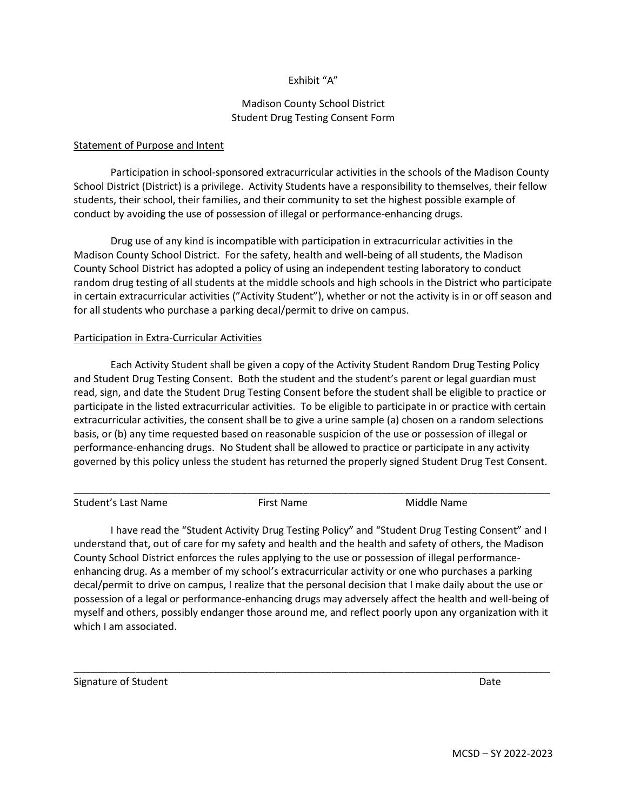## Exhibit "A"

## Madison County School District Student Drug Testing Consent Form

## Statement of Purpose and Intent

Participation in school-sponsored extracurricular activities in the schools of the Madison County School District (District) is a privilege. Activity Students have a responsibility to themselves, their fellow students, their school, their families, and their community to set the highest possible example of conduct by avoiding the use of possession of illegal or performance-enhancing drugs.

Drug use of any kind is incompatible with participation in extracurricular activities in the Madison County School District. For the safety, health and well-being of all students, the Madison County School District has adopted a policy of using an independent testing laboratory to conduct random drug testing of all students at the middle schools and high schools in the District who participate in certain extracurricular activities ("Activity Student"), whether or not the activity is in or off season and for all students who purchase a parking decal/permit to drive on campus.

## Participation in Extra-Curricular Activities

Each Activity Student shall be given a copy of the Activity Student Random Drug Testing Policy and Student Drug Testing Consent. Both the student and the student's parent or legal guardian must read, sign, and date the Student Drug Testing Consent before the student shall be eligible to practice or participate in the listed extracurricular activities. To be eligible to participate in or practice with certain extracurricular activities, the consent shall be to give a urine sample (a) chosen on a random selections basis, or (b) any time requested based on reasonable suspicion of the use or possession of illegal or performance-enhancing drugs. No Student shall be allowed to practice or participate in any activity governed by this policy unless the student has returned the properly signed Student Drug Test Consent.

| Student's Last Name | First Name | Middle Name |
|---------------------|------------|-------------|

I have read the "Student Activity Drug Testing Policy" and "Student Drug Testing Consent" and I understand that, out of care for my safety and health and the health and safety of others, the Madison County School District enforces the rules applying to the use or possession of illegal performanceenhancing drug. As a member of my school's extracurricular activity or one who purchases a parking decal/permit to drive on campus, I realize that the personal decision that I make daily about the use or possession of a legal or performance-enhancing drugs may adversely affect the health and well-being of myself and others, possibly endanger those around me, and reflect poorly upon any organization with it which I am associated.

\_\_\_\_\_\_\_\_\_\_\_\_\_\_\_\_\_\_\_\_\_\_\_\_\_\_\_\_\_\_\_\_\_\_\_\_\_\_\_\_\_\_\_\_\_\_\_\_\_\_\_\_\_\_\_\_\_\_\_\_\_\_\_\_\_\_\_\_\_\_\_\_\_\_\_\_\_\_\_\_\_\_\_\_\_

Signature of Student Date of Student Assembly Date of Student Assembly Date of Student Assembly Date of Student